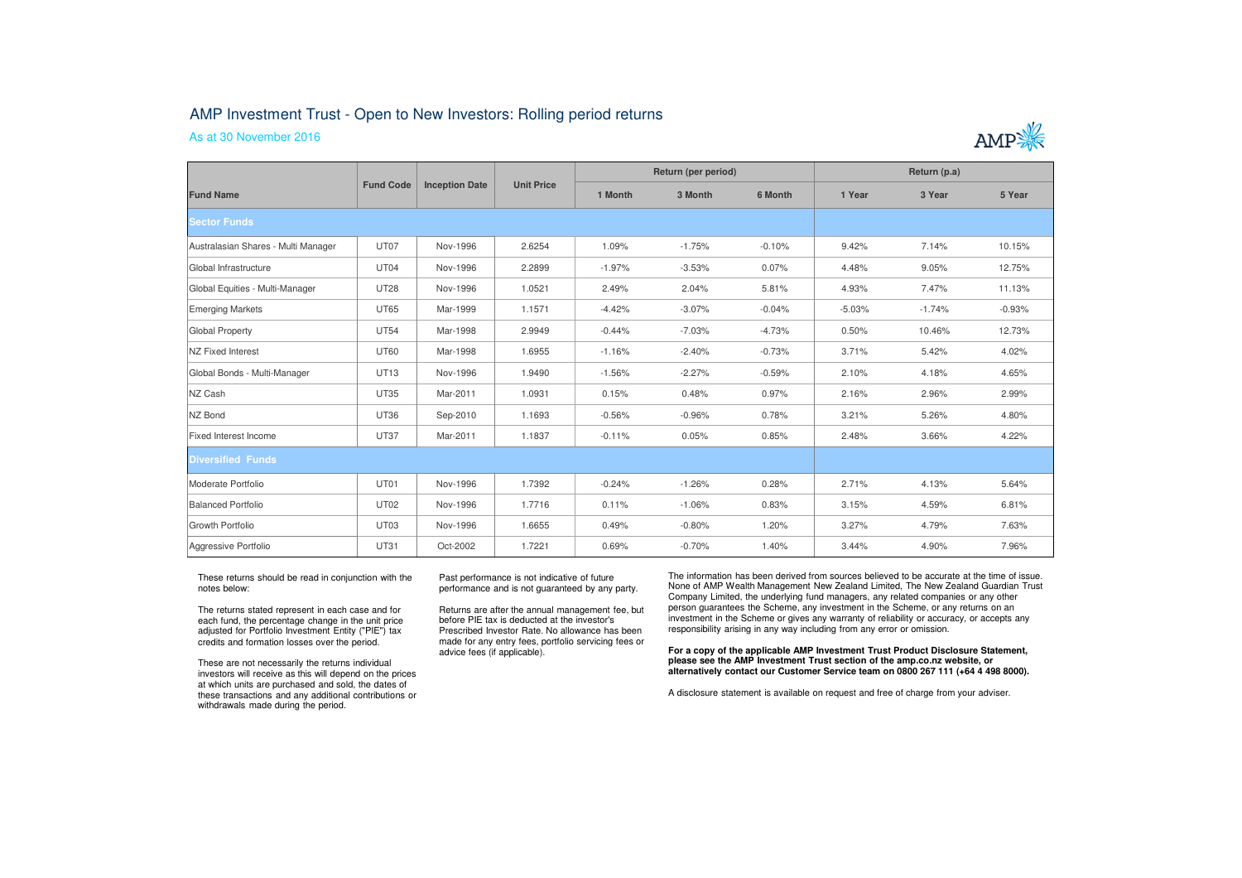## AMP Investment Trust - Open to New Investors: Rolling period returns

As at 30 November 2016



| <b>Fund Name</b>                    | <b>Fund Code</b> | <b>Inception Date</b> | <b>Unit Price</b> | Return (per period) |          |          | Return (p.a) |          |          |
|-------------------------------------|------------------|-----------------------|-------------------|---------------------|----------|----------|--------------|----------|----------|
|                                     |                  |                       |                   | 1 Month             | 3 Month  | 6 Month  | 1 Year       | 3 Year   | 5 Year   |
| Sector Funds                        |                  |                       |                   |                     |          |          |              |          |          |
| Australasian Shares - Multi Manager | UT07             | Nov-1996              | 2.6254            | 1.09%               | $-1.75%$ | $-0.10%$ | 9.42%        | 7.14%    | 10.15%   |
| Global Infrastructure               | UT04             | Nov-1996              | 2.2899            | $-1.97%$            | $-3.53%$ | 0.07%    | 4.48%        | 9.05%    | 12.75%   |
| Global Equities - Multi-Manager     | <b>UT28</b>      | Nov-1996              | 1.0521            | 2.49%               | 2.04%    | 5.81%    | 4.93%        | 7.47%    | 11.13%   |
| Emerging Markets                    | <b>UT65</b>      | Mar-1999              | 1.1571            | $-4.42%$            | $-3.07%$ | $-0.04%$ | $-5.03%$     | $-1.74%$ | $-0.93%$ |
| Global Property                     | <b>UT54</b>      | Mar-1998              | 2.9949            | $-0.44%$            | $-7.03%$ | $-4.73%$ | 0.50%        | 10.46%   | 12.73%   |
| <b>NZ Fixed Interest</b>            | <b>UT60</b>      | Mar-1998              | 1.6955            | $-1.16%$            | $-2.40%$ | $-0.73%$ | 3.71%        | 5.42%    | 4.02%    |
| Global Bonds - Multi-Manager        | <b>UT13</b>      | Nov-1996              | 1.9490            | $-1.56%$            | $-2.27%$ | $-0.59%$ | 2.10%        | 4.18%    | 4.65%    |
| NZ Cash                             | <b>UT35</b>      | Mar-2011              | 1.0931            | 0.15%               | 0.48%    | 0.97%    | 2.16%        | 2.96%    | 2.99%    |
| NZ Bond                             | <b>UT36</b>      | Sep-2010              | 1.1693            | $-0.56%$            | $-0.96%$ | 0.78%    | 3.21%        | 5.26%    | 4.80%    |
| Fixed Interest Income               | <b>UT37</b>      | Mar-2011              | 1.1837            | $-0.11%$            | 0.05%    | 0.85%    | 2.48%        | 3.66%    | 4.22%    |
| <b>Diversified Funds</b>            |                  |                       |                   |                     |          |          |              |          |          |
| Moderate Portfolio                  | UT01             | Nov-1996              | 1.7392            | $-0.24%$            | $-1.26%$ | 0.28%    | 2.71%        | 4.13%    | 5.64%    |
| Balanced Portfolio                  | <b>UT02</b>      | Nov-1996              | 1.7716            | 0.11%               | $-1.06%$ | 0.83%    | 3.15%        | 4.59%    | 6.81%    |
| Growth Portfolio                    | UT03             | Nov-1996              | 1.6655            | 0.49%               | $-0.80%$ | 1.20%    | 3.27%        | 4.79%    | 7.63%    |
| Aggressive Portfolio                | <b>UT31</b>      | Oct-2002              | 1.7221            | 0.69%               | $-0.70%$ | 1.40%    | 3.44%        | 4.90%    | 7.96%    |

These returns should be read in conjunction with the notes below:

The returns stated represent in each case and for each fund, the percentage change in the unit price adjusted for Portfolio Investment Entity ("PIE") tax credits and formation losses over the period.

These are not necessarily the returns individual investors will receive as this will depend on the prices at which units are purchased and sold, the dates of these transactions and any additional contributions or withdrawals made during the period.

Past performance is not indicative of future performance and is not guaranteed by any party.

Returns are after the annual management fee, but before PIE tax is deducted at the investor's Prescribed Investor Rate. No allowance has been made for any entry fees, portfolio servicing fees or advice fees (if applicable).

The information has been derived from sources believed to be accurate at the time of issue. None of AMP Wealth Management New Zealand Limited, The New Zealand Guardian Trust Company Limited, the underlying fund managers, any related companies or any other person guarantees the Scheme, any investment in the Scheme, or any returns on an investment in the Scheme or gives any warranty of reliability or accuracy, or accepts any responsibility arising in any way including from any error or omission.

**For a copy of the applicable AMP Investment Trust Product Disclosure Statement, please see the AMP Investment Trust section of the amp.co.nz website, or alternatively contact our Customer Service team on 0800 267 111 (+64 4 498 8000).**

A disclosure statement is available on request and free of charge from your adviser.